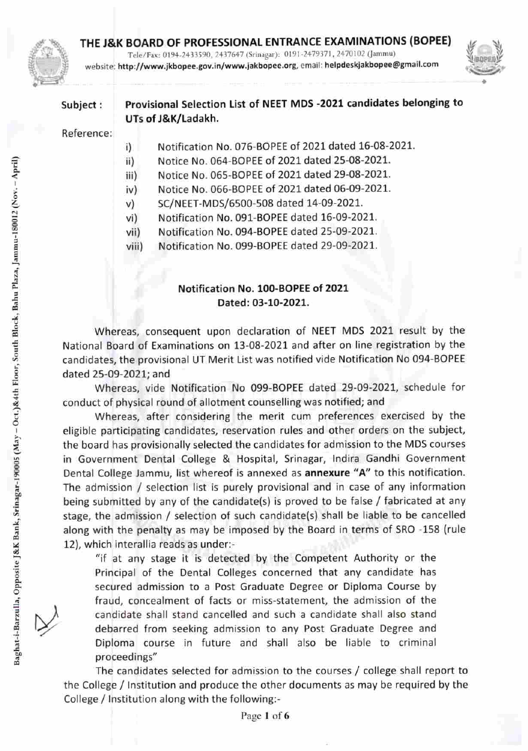

## THE J&K BOARD OF PROFESSIONAL ENTRANCE EXAMINATIONS (BOPEE) ^ ^

Tele/Fax: 0194-2433590, 2437647 (Srinagar): 0191-2479371, 2470102 (Jammu). website: http://www.jkbopee.gov.in/www.jakbopee.org, email: helpdeskjakbopee@gmail.com



# Subject: Provisional Selection List of NEET MDS -2021 candidates belonging to UTs of J&K/Ladakh.

### Reference:

- i) Notification No. 076-BOPEE of 2021 dated 16-08-2021.
- ii) Notice No. 064-BOPEE of 2021 dated 25-08-2021.
- iii) Notice No. 065-BOPEE of 2021 dated 29-08-2021.
- iv) Notice No. 066-BOPEE of 2021 dated 06-09-2021.
- v) SC/NEET-MDS/6500-508 dated 14-09-2021.
- vi) Notification No. 091-BOPEE dated 16-09-2021.
- vii) Notification No. 094-BOPEE dated 25-09-2021.
- viii) Notification No. 099-BOPEE dated 29-09-2021.

### Notification No. 100-BOPEE of 2021 Dated: 03-10-2021.

Whereas, consequent upon declaration of NEET MDS 2021 result by the National Board of Examinations on 13-08-2021 and after on line registration by the 4 candidates, the provisional UT Merit List was notified vide Notification No 094-BOPEE dated 25-09-2021; and

^ Whereas, vide Notification No 099-BOPEE dated 29-09-2021, schedule for conduct of physical round of allotment counselling was notified; and

Whereas, after considering the merit cum preferences exercised by the eligible participating candidates, reservation rules and other orders on the subject, ^ the board has provisionally selected the candidates for admission to the MDS courses in Government Dental College & Hospital, Srinagar, Indira Gandhi Government Dental College Jammu, list whereof is annexed as annexure "A" to this notification. The admission / selection list is purely provisional and in case of any information being submitted by any of the candidate(s) is proved to be false / fabricated at any stage, the admission / selection of such candidate(s) shall be liable to be cancelled along with the penalty as may be imposed by the Board in terms of SRO -158 (rule 12), which interallia reads as under:-

"if at any stage it is detected by the Competent Authority or the Principal of the Dental Colleges concerned that any candidate has secured admission to a Post Graduate Degree or Diploma Course by fraud, concealment of facts or miss-statement, the admission of the candidate shall stand cancelled and such a candidate shall also stand debarred from seeking admission to any Post Graduate Degree and Diploma course in future and shall also be liable to criminal proceedings"

The candidates selected for admission to the courses / college shall report to the College / Institution and produce the other documents as may be required by the College / Institution along with the following:-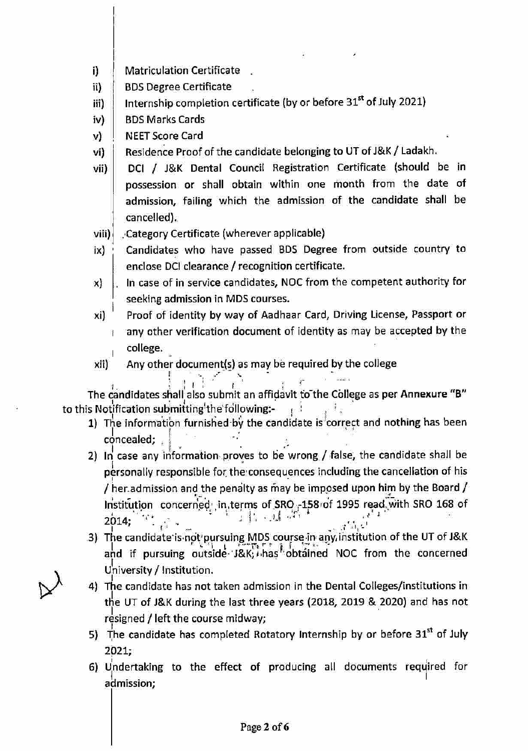- i) **Matriculation Certificate**
- ill BDS Degree Certificate
- iii] Internship completion certificate (by or before 31®\* of July 2021)
- iv) BDS Marks Cards
- V) NEET Score Card
- vi) Residence Proof of the candidate belonging to UT of J&K/ Ladakh.
- vii) DCI / J&K Dental Council Registration Certificate (should be in possession or shall obtain within one rnonth from the date of admission, failing which the admission of the candidate shall be cancelled).
- vili) Category Certificate (wherever applicable)
- ix) Candidates who have passed BDS Degree from outside country to enclose DC! clearance / recognition certificate.
- X) In case of in service candidates, NOC from the competent authority for seeking admission in MDS courses.
- Ki) Proof of identity by way of Aadhaar Card, Driving License, Passport or any other verification document of identity as may be accepted by the college.
- xii) Any other document(s) as may be required by the college

 $l$  .  $l$   $l$   $l$   $l$   $l$   $l$   $l$ The candidates shall also submit an affidavit to the College as per Annexure "B" to this Notification submitting the following:-  $\begin{array}{ccc} \hline \end{array}$ 

- 1) The information furnished by the candidate is correct and nothing has been e candidates shall<br>otification submitt<br>The information fu<br>concealed;<br>In case any inform
- 2) In case any information proves to be wrong / false, the candidate shall be personally responsible for the consequences including the cancellation of his / her.admission and the penalty as rhay be imposed upon him by the Board / Institution concerned' in, terms of SRO .-158 of 1995 read. with SRO 168 of  $2014$ ;  $3.7$   $3.7$   $1.7$
- 3) The candidate'is ndt'pursuing MDS course in'any, institution of the UT of J&K he candidate is not pursuing MDS course in an<br>Lat tre construction in the matrix of the first of and if pursuing outside-'J&K; has obtained NOC from the concerned University / Institution.
- 4) The candidate has not taken admission in the Dental Colleges/institutions in the UT of J&K during the last three years (2018, 2019 & 2020) and has not resigned / left the course midway;
- 5) The candidate has completed Rotatory Internship by or before  $31<sup>st</sup>$  of July 2021;
- 6) Undertaking to the effect of producing all documents required for admission;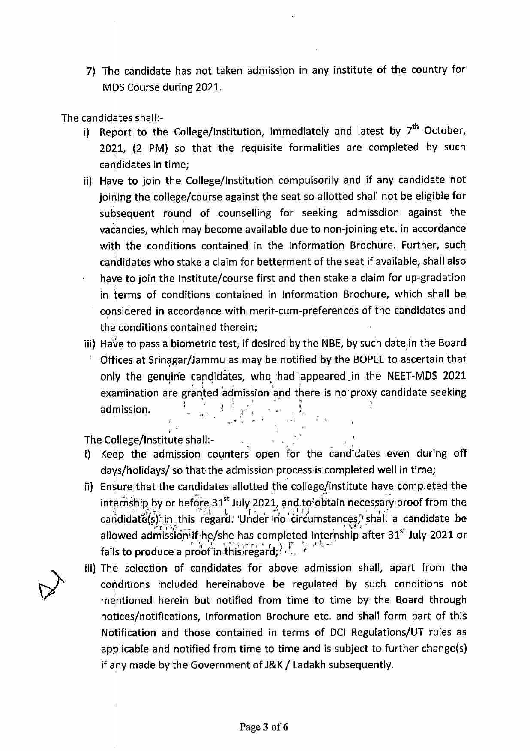7) The candidate has not taken admission in any institute of the country for MDS Course during 2021.

The candidates shall:-

- i) Report to the College/Institution, immediately and latest by  $7^{\text{th}}$  October, 2021, (2 PM) so that the requisite formalities are completed by such candidates in time;
- ii) Have to join the College/Institution compulsorily and if any candidate not Joining the college/course against the seat so allotted shall not be eligible for subsequent round of counselling for seeking admissdion against the vacancies, which may become available due to non-Joining etc. in accordance with the conditions contained in the Information Brochure. Further, such carididates who stake a claim for betterment of the seat if available, shall also have to join the Institute/course first and then stake a claim for up-gradation in terms of conditions contained in Information Brochure, which shall be considered in accordance with merit-cum-preferences of the candidates and

the conditions contained therein;

iii) Have to pass a biometric test, if desired by the NBE, by such date in the Board Offices at Srinagar/Jammu as may be notified by the BOPEE to ascertain that only the genuine candidates, who had appeared .in the NEET-MDS 2021 examination are granted admission and there is no proxy candidate seeking admission.

The College/Institute shall:-

- i) Keep the admission counters open for the candidates even during off days/holidays/ so that-the admission process is completed well In time;
- ii) Ensure that the candidates allotted the college/institute have completed the  $\textsf{int}$ ernship by or before 31st July 2021, and to obtain necessary proof from the candidate(s) in this regard.' Under no circumstances, shall a candidate be allowed admission if he/she has completed internship after  $31<sup>st</sup>$  July 2021 or fails to produce a proof in this regard;
- lii) The selection of candidates for above admission shall, apart from the conditions included hereinabove be regulated by such conditions not mentioned herein but notified from time to time by the Board through notices/notifications, Information Brochure etc. and shall form part of this Notification and those contained in terms of DCI Regulations/UT rules as applicable and notified from time to time and is subject to further change{s) if any made by the Government of J&K/ Ladakh subsequently.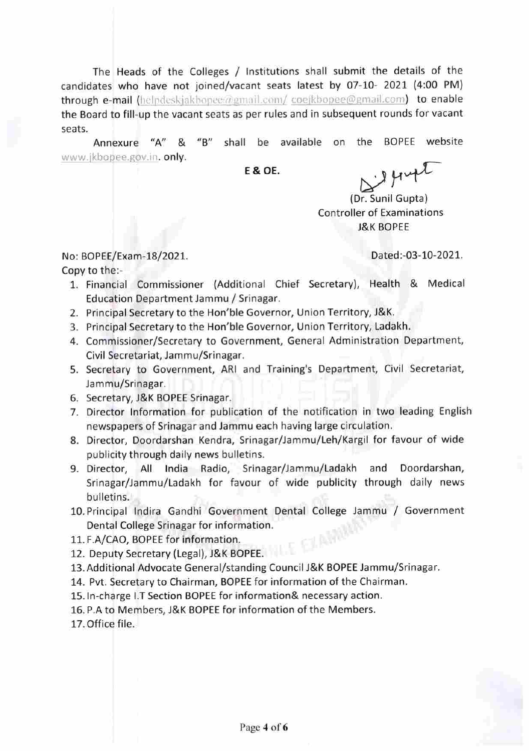The Heads of the Colleges / Institutions shall submit the details of the candidates who have not joined/vacant seats latest by 07-10- 2021 (4:00 PM) through e-mail (helpdeskjakbopee@gmail.com/ coejkbopee@gmail.com) to enable the Board to fill-up the vacant seats as per rules and in subsequent rounds for vacant seats.

Annexure "A" & "B" shall be available on the BOPEE website www.jkbopee.gov.in. only.

**E & OE.** 

iggingt

(Or. Sunil Gupta) Controller of Examinations J&K BOPEE

No: BOPEE/Exam-18/2021. Dated;-03-10-2021.

- Copy to the:-
	- 1. Financial Commissioner (Additional Chief Secretary), Health & Medical Education Department Jammu / Srinagar.
	- 2. Principal Secretary to the Hon'ble Governor, Union Territory, J&K.
	- 3. Principal Secretary to the Hon'ble Governor, Union Territory, Ladakh.
	- 4. Commissioner/Secretary to Government, General Administration Department, Civil Secretariat, Jammu/Srinagar.
	- 5. Secretary to Government, ARI and Training's Department, Civil Secretariat, Jammu/Srinagar.
	- 6. Secretary, J&K BOPEE Srinagar.
	- 7. Director Information for publication of the notification in two leading English newspapers of Srinagar and Jammu each having large circulation.
	- 8. Director, Doordarshan Kendra, Srinagar/Jammu/Leh/Kargil for favour of wide publicity through dally news bulletins.
	- 9. Director, All India Radio, Srinagar/Jammu/Ladakh and Doordarshan, Srinagar/Jammu/Ladakh for favour of wide publicity through daily news bulletins.
	- 10. Principal Indira Gandhi Government Dental College Jammu / Government Dental College Srinagar for information.
	- 11. F.A/CAO, BOPEE for information.
	- 12. Deputy Secretary (Legal), J&K BOPEE.
	- 13. Additional Advocate General/standing Council J&K BOPEE Jammu/Srinagar.
	- 14. Pvt. Secretary to Chairman, BOPEE for information of the Chairman.
	- 15. In-charge I.T Section BOPEE for information& necessary action.
	- 16. P.A to Members, J&K BOPEE for Information of the Members.
	- 17. Office file.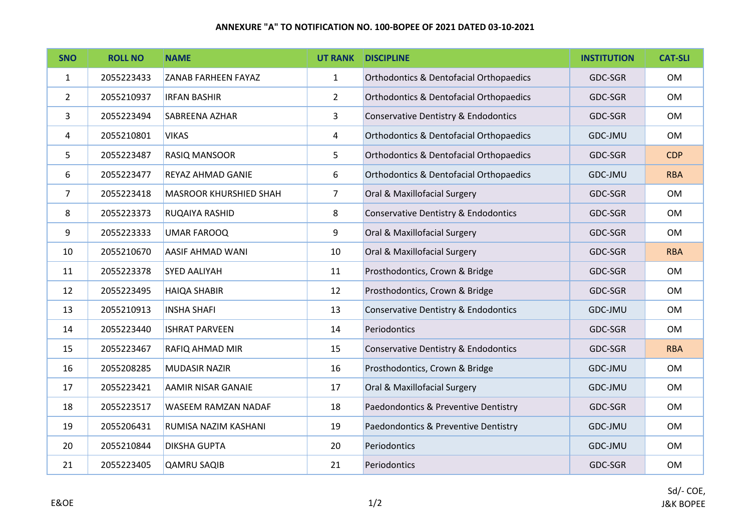### **ANNEXURE "A" TO NOTIFICATION NO. 100-BOPEE OF 2021 DATED 03-10-2021**

| <b>SNO</b>     | <b>ROLL NO</b> | <b>NAME</b>                   | <b>UT RANK</b> | <b>DISCIPLINE</b>                                  | <b>INSTITUTION</b> | <b>CAT-SLI</b> |
|----------------|----------------|-------------------------------|----------------|----------------------------------------------------|--------------------|----------------|
| 1              | 2055223433     | <b>ZANAB FARHEEN FAYAZ</b>    | $\mathbf{1}$   | <b>Orthodontics &amp; Dentofacial Orthopaedics</b> | GDC-SGR            | OM             |
| $\overline{2}$ | 2055210937     | <b>IRFAN BASHIR</b>           | $\overline{2}$ | <b>Orthodontics &amp; Dentofacial Orthopaedics</b> | GDC-SGR            | OM             |
| 3              | 2055223494     | SABREENA AZHAR                | 3              | Conservative Dentistry & Endodontics               | GDC-SGR            | OM             |
| 4              | 2055210801     | <b>VIKAS</b>                  | 4              | <b>Orthodontics &amp; Dentofacial Orthopaedics</b> | GDC-JMU            | OM             |
| 5              | 2055223487     | RASIQ MANSOOR                 | 5              | <b>Orthodontics &amp; Dentofacial Orthopaedics</b> | GDC-SGR            | <b>CDP</b>     |
| 6              | 2055223477     | REYAZ AHMAD GANIE             | 6              | <b>Orthodontics &amp; Dentofacial Orthopaedics</b> | GDC-JMU            | <b>RBA</b>     |
| $\overline{7}$ | 2055223418     | <b>MASROOR KHURSHIED SHAH</b> | $\overline{7}$ | Oral & Maxillofacial Surgery                       | GDC-SGR            | OM             |
| 8              | 2055223373     | RUQAIYA RASHID                | 8              | Conservative Dentistry & Endodontics               | GDC-SGR            | OM             |
| 9              | 2055223333     | <b>UMAR FAROOQ</b>            | 9              | Oral & Maxillofacial Surgery                       | GDC-SGR            | <b>OM</b>      |
| 10             | 2055210670     | <b>AASIF AHMAD WANI</b>       | 10             | Oral & Maxillofacial Surgery                       | GDC-SGR            | <b>RBA</b>     |
| 11             | 2055223378     | <b>SYED AALIYAH</b>           | 11             | Prosthodontics, Crown & Bridge                     | GDC-SGR            | OM             |
| 12             | 2055223495     | <b>HAIQA SHABIR</b>           | 12             | Prosthodontics, Crown & Bridge                     | GDC-SGR            | OM             |
| 13             | 2055210913     | <b>INSHA SHAFI</b>            | 13             | Conservative Dentistry & Endodontics               | GDC-JMU            | OM             |
| 14             | 2055223440     | <b>ISHRAT PARVEEN</b>         | 14             | Periodontics                                       | GDC-SGR            | OM             |
| 15             | 2055223467     | RAFIQ AHMAD MIR               | 15             | Conservative Dentistry & Endodontics               | GDC-SGR            | <b>RBA</b>     |
| 16             | 2055208285     | MUDASIR NAZIR                 | 16             | Prosthodontics, Crown & Bridge                     | GDC-JMU            | OM             |
| 17             | 2055223421     | <b>AAMIR NISAR GANAIE</b>     | 17             | Oral & Maxillofacial Surgery                       | GDC-JMU            | OM             |
| 18             | 2055223517     | WASEEM RAMZAN NADAF           | 18             | Paedondontics & Preventive Dentistry               | GDC-SGR            | <b>OM</b>      |
| 19             | 2055206431     | RUMISA NAZIM KASHANI          | 19             | Paedondontics & Preventive Dentistry               | GDC-JMU            | OM             |
| 20             | 2055210844     | <b>DIKSHA GUPTA</b>           | 20             | Periodontics                                       | GDC-JMU            | OM             |
| 21             | 2055223405     | <b>QAMRU SAQIB</b>            | 21             | Periodontics                                       | GDC-SGR            | <b>OM</b>      |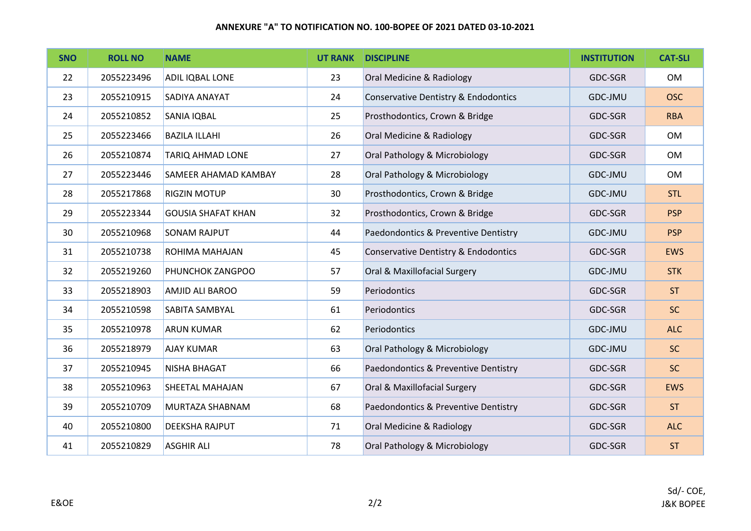### **ANNEXURE "A" TO NOTIFICATION NO. 100-BOPEE OF 2021 DATED 03-10-2021**

| <b>SNO</b> | <b>ROLL NO</b> | <b>NAME</b>               | <b>UT RANK</b> | <b>DISCIPLINE</b>                    | <b>INSTITUTION</b> | <b>CAT-SLI</b> |
|------------|----------------|---------------------------|----------------|--------------------------------------|--------------------|----------------|
| 22         | 2055223496     | ADIL IQBAL LONE           | 23             | Oral Medicine & Radiology            | GDC-SGR            | OM             |
| 23         | 2055210915     | SADIYA ANAYAT             | 24             | Conservative Dentistry & Endodontics | GDC-JMU            | <b>OSC</b>     |
| 24         | 2055210852     | <b>SANIA IQBAL</b>        | 25             | Prosthodontics, Crown & Bridge       | GDC-SGR            | <b>RBA</b>     |
| 25         | 2055223466     | <b>BAZILA ILLAHI</b>      | 26             | Oral Medicine & Radiology            | GDC-SGR            | <b>OM</b>      |
| 26         | 2055210874     | <b>TARIQ AHMAD LONE</b>   | 27             | Oral Pathology & Microbiology        | GDC-SGR            | OM             |
| 27         | 2055223446     | SAMEER AHAMAD KAMBAY      | 28             | Oral Pathology & Microbiology        | GDC-JMU            | OM             |
| 28         | 2055217868     | <b>RIGZIN MOTUP</b>       | 30             | Prosthodontics, Crown & Bridge       | GDC-JMU            | <b>STL</b>     |
| 29         | 2055223344     | <b>GOUSIA SHAFAT KHAN</b> | 32             | Prosthodontics, Crown & Bridge       | GDC-SGR            | <b>PSP</b>     |
| 30         | 2055210968     | <b>SONAM RAJPUT</b>       | 44             | Paedondontics & Preventive Dentistry | GDC-JMU            | <b>PSP</b>     |
| 31         | 2055210738     | ROHIMA MAHAJAN            | 45             | Conservative Dentistry & Endodontics | GDC-SGR            | <b>EWS</b>     |
| 32         | 2055219260     | PHUNCHOK ZANGPOO          | 57             | Oral & Maxillofacial Surgery         | GDC-JMU            | <b>STK</b>     |
| 33         | 2055218903     | AMJID ALI BAROO           | 59             | Periodontics                         | GDC-SGR            | ST             |
| 34         | 2055210598     | SABITA SAMBYAL            | 61             | Periodontics                         | GDC-SGR            | <b>SC</b>      |
| 35         | 2055210978     | <b>ARUN KUMAR</b>         | 62             | Periodontics                         | GDC-JMU            | <b>ALC</b>     |
| 36         | 2055218979     | <b>AJAY KUMAR</b>         | 63             | Oral Pathology & Microbiology        | GDC-JMU            | <b>SC</b>      |
| 37         | 2055210945     | <b>NISHA BHAGAT</b>       | 66             | Paedondontics & Preventive Dentistry | GDC-SGR            | <b>SC</b>      |
| 38         | 2055210963     | SHEETAL MAHAJAN           | 67             | Oral & Maxillofacial Surgery         | GDC-SGR            | <b>EWS</b>     |
| 39         | 2055210709     | MURTAZA SHABNAM           | 68             | Paedondontics & Preventive Dentistry | GDC-SGR            | ST             |
| 40         | 2055210800     | <b>DEEKSHA RAJPUT</b>     | 71             | Oral Medicine & Radiology            | GDC-SGR            | <b>ALC</b>     |
| 41         | 2055210829     | <b>ASGHIR ALI</b>         | 78             | Oral Pathology & Microbiology        | GDC-SGR            | <b>ST</b>      |